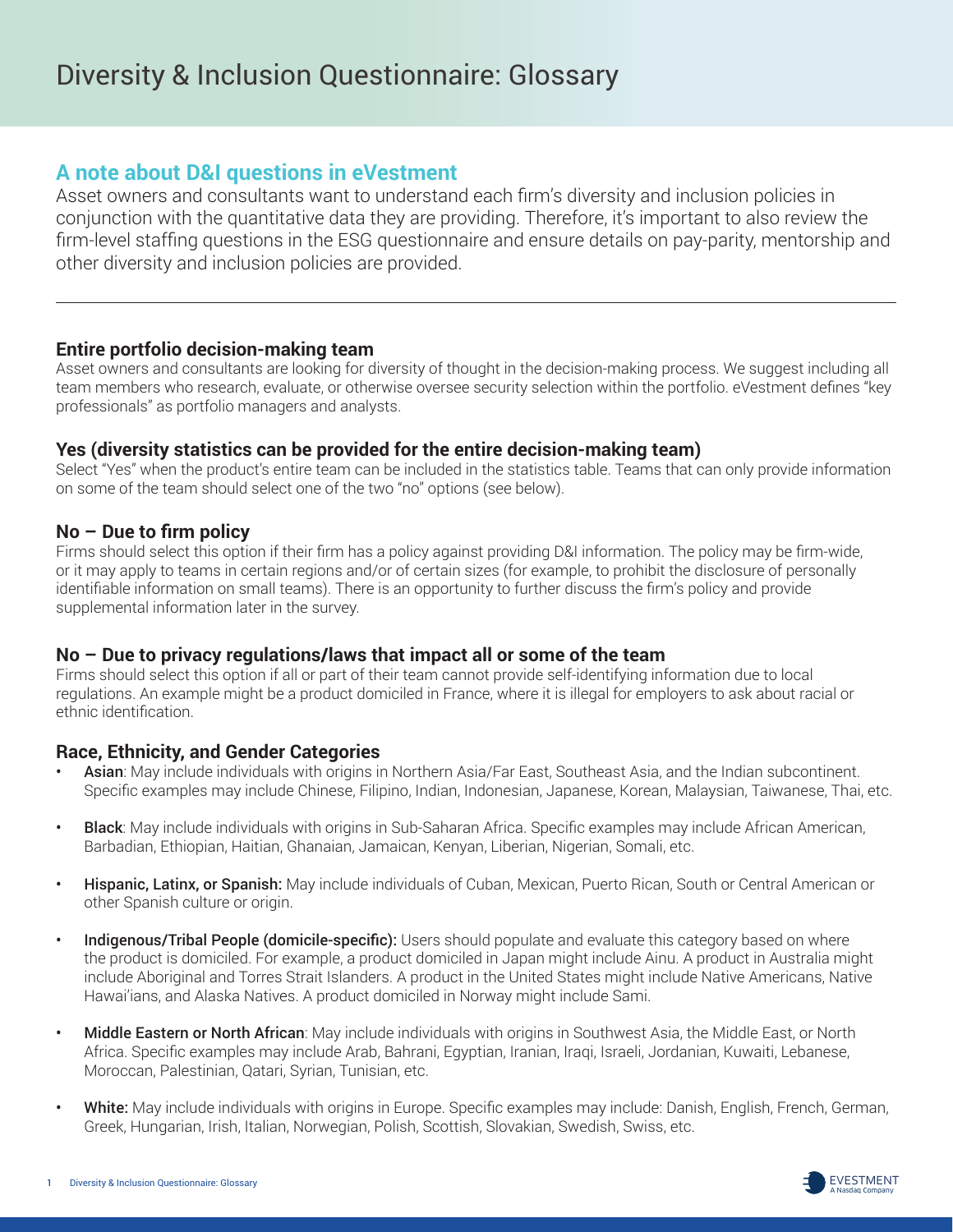# **A note about D&I questions in eVestment**

Asset owners and consultants want to understand each firm's diversity and inclusion policies in conjunction with the quantitative data they are providing. Therefore, it's important to also review the firm-level staffing questions in the ESG questionnaire and ensure details on pay-parity, mentorship and other diversity and inclusion policies are provided.

## **Entire portfolio decision-making team**

Asset owners and consultants are looking for diversity of thought in the decision-making process. We suggest including all team members who research, evaluate, or otherwise oversee security selection within the portfolio. eVestment defines "key professionals" as portfolio managers and analysts.

## **Yes (diversity statistics can be provided for the entire decision-making team)**

Select "Yes" when the product's entire team can be included in the statistics table. Teams that can only provide information on some of the team should select one of the two "no" options (see below).

## **No – Due to firm policy**

Firms should select this option if their firm has a policy against providing D&I information. The policy may be firm-wide, or it may apply to teams in certain regions and/or of certain sizes (for example, to prohibit the disclosure of personally identifiable information on small teams). There is an opportunity to further discuss the firm's policy and provide supplemental information later in the survey.

## **No – Due to privacy regulations/laws that impact all or some of the team**

Firms should select this option if all or part of their team cannot provide self-identifying information due to local regulations. An example might be a product domiciled in France, where it is illegal for employers to ask about racial or ethnic identification.

## **Race, Ethnicity, and Gender Categories**

- Asian: May include individuals with origins in Northern Asia/Far East, Southeast Asia, and the Indian subcontinent. Specific examples may include Chinese, Filipino, Indian, Indonesian, Japanese, Korean, Malaysian, Taiwanese, Thai, etc.
- Black: May include individuals with origins in Sub-Saharan Africa. Specific examples may include African American, Barbadian, Ethiopian, Haitian, Ghanaian, Jamaican, Kenyan, Liberian, Nigerian, Somali, etc.
- **Hispanic, Latinx, or Spanish:** May include individuals of Cuban, Mexican, Puerto Rican, South or Central American or other Spanish culture or origin.
- Indigenous/Tribal People (domicile-specific): Users should populate and evaluate this category based on where the product is domiciled. For example, a product domiciled in Japan might include Ainu. A product in Australia might include Aboriginal and Torres Strait Islanders. A product in the United States might include Native Americans, Native Hawai'ians, and Alaska Natives. A product domiciled in Norway might include Sami.
- Middle Eastern or North African: May include individuals with origins in Southwest Asia, the Middle East, or North Africa. Specific examples may include Arab, Bahrani, Egyptian, Iranian, Iraqi, Israeli, Jordanian, Kuwaiti, Lebanese, Moroccan, Palestinian, Qatari, Syrian, Tunisian, etc.
- White: May include individuals with origins in Europe. Specific examples may include: Danish, English, French, German, Greek, Hungarian, Irish, Italian, Norwegian, Polish, Scottish, Slovakian, Swedish, Swiss, etc.